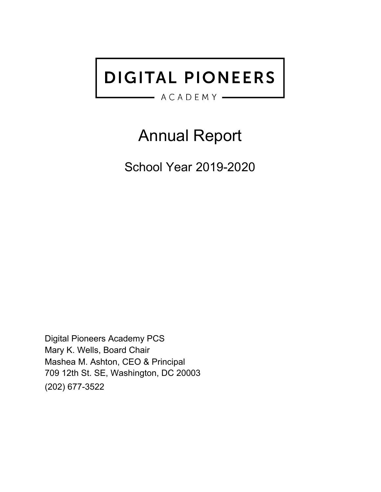# **DIGITAL PIONEERS**

## $ACADEMY -$

# Annual Report

<span id="page-0-0"></span>School Year 2019-2020

Digital Pioneers Academy PCS Mary K. Wells, Board Chair Mashea M. Ashton, CEO & Principal 709 12th St. SE, Washington, DC 20003 (202) 677-3522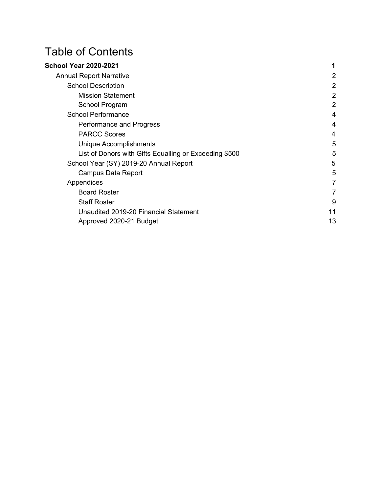# Table of Contents

| <b>School Year 2020-2021</b>                           |                |
|--------------------------------------------------------|----------------|
| <b>Annual Report Narrative</b>                         | 2              |
| <b>School Description</b>                              | $\overline{2}$ |
| <b>Mission Statement</b>                               | $\overline{2}$ |
| School Program                                         | $\overline{2}$ |
| <b>School Performance</b>                              | 4              |
| Performance and Progress                               | 4              |
| <b>PARCC Scores</b>                                    | 4              |
| Unique Accomplishments                                 | 5              |
| List of Donors with Gifts Equalling or Exceeding \$500 | 5              |
| School Year (SY) 2019-20 Annual Report                 | 5              |
| Campus Data Report                                     | 5              |
| Appendices                                             | 7              |
| <b>Board Roster</b>                                    | 7              |
| <b>Staff Roster</b>                                    | 9              |
| Unaudited 2019-20 Financial Statement                  | 11             |
| Approved 2020-21 Budget                                | 13             |
|                                                        |                |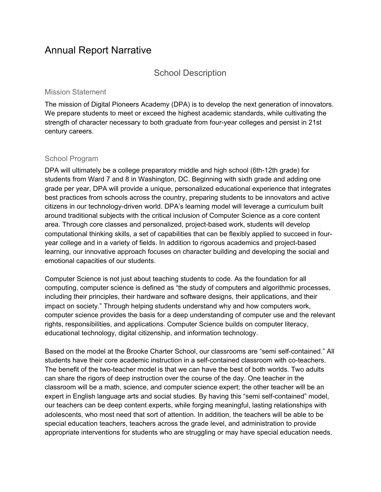# <span id="page-2-1"></span><span id="page-2-0"></span>Annual Report Narrative

#### School Description

#### <span id="page-2-2"></span>Mission Statement

The mission of Digital Pioneers Academy (DPA) is to develop the next generation of innovators. We prepare students to meet or exceed the highest academic standards, while cultivating the strength of character necessary to both graduate from four-year colleges and persist in 21st century careers.

#### <span id="page-2-3"></span>School Program

DPA will ultimately be a college preparatory middle and high school (6th-12th grade) for students from Ward 7 and 8 in Washington, DC. Beginning with sixth grade and adding one grade per year, DPA will provide a unique, personalized educational experience that integrates best practices from schools across the country, preparing students to be innovators and active citizens in our technology-driven world. DPA's learning model will leverage a curriculum built around traditional subjects with the critical inclusion of Computer Science as a core content area. Through core classes and personalized, project-based work, students will develop computational thinking skills, a set of capabilities that can be flexibly applied to succeed in fouryear college and in a variety of fields. In addition to rigorous academics and project-based learning, our innovative approach focuses on character building and developing the social and emotional capacities of our students.

Computer Science is not just about teaching students to code. As the foundation for all computing, computer science is defined as "the study of computers and algorithmic processes, including their principles, their hardware and software designs, their applications, and their impact on society." Through helping students understand why and how computers work, computer science provides the basis for a deep understanding of computer use and the relevant rights, responsibilities, and applications. Computer Science builds on computer literacy, educational technology, digital citizenship, and information technology.

Based on the model at the Brooke Charter School, our classrooms are "semi self-contained." All students have their core academic instruction in a self-contained classroom with co-teachers. The benefit of the two-teacher model is that we can have the best of both worlds. Two adults can share the rigors of deep instruction over the course of the day. One teacher in the classroom will be a math, science, and computer science expert; the other teacher will be an expert in English language arts and social studies. By having this "semi self-contained" model, our teachers can be deep content experts, while forging meaningful, lasting relationships with adolescents, who most need that sort of attention. In addition, the teachers will be able to be special education teachers, teachers across the grade level, and administration to provide appropriate interventions for students who are struggling or may have special education needs.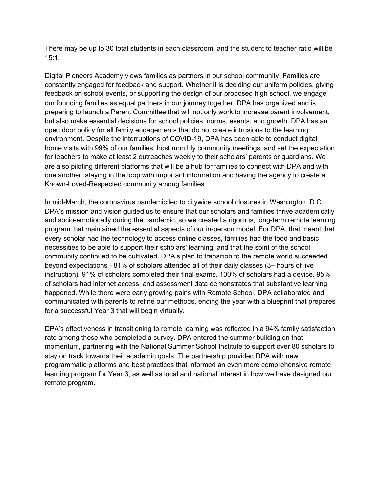There may be up to 30 total students in each classroom, and the student to teacher ratio will be 15:1.

Digital Pioneers Academy views families as partners in our school community. Families are constantly engaged for feedback and support. Whether it is deciding our uniform policies, giving feedback on school events, or supporting the design of our proposed high school, we engage our founding families as equal partners in our journey together. DPA has organized and is preparing to launch a Parent Committee that will not only work to increase parent involvement, but also make essential decisions for school policies, norms, events, and growth. DPA has an open door policy for all family engagements that do not create intrusions to the learning environment. Despite the interruptions of COVID-19, DPA has been able to conduct digital home visits with 99% of our families, host monthly community meetings, and set the expectation for teachers to make at least 2 outreaches weekly to their scholars' parents or guardians. We are also piloting different platforms that will be a hub for families to connect with DPA and with one another, staying in the loop with important information and having the agency to create a Known-Loved-Respected community among families.

In mid-March, the coronavirus pandemic led to citywide school closures in Washington, D.C. DPA's mission and vision guided us to ensure that our scholars and families thrive academically and socio-emotionally during the pandemic, so we created a rigorous, long-term remote learning program that maintained the essential aspects of our in-person model. For DPA, that meant that every scholar had the technology to access online classes, families had the food and basic necessities to be able to support their scholars' learning, and that the spirit of the school community continued to be cultivated. DPA's plan to transition to the remote world succeeded beyond expectations - 81% of scholars attended all of their daily classes (3+ hours of live instruction), 91% of scholars completed their final exams, 100% of scholars had a device, 95% of scholars had internet access, and assessment data demonstrates that substantive learning happened. While there were early growing pains with Remote School, DPA collaborated and communicated with parents to refine our methods, ending the year with a blueprint that prepares for a successful Year 3 that will begin virtually.

DPA's effectiveness in transitioning to remote learning was reflected in a 94% family satisfaction rate among those who completed a survey. DPA entered the summer building on that momentum, partnering with the National Summer School Institute to support over 80 scholars to stay on track towards their academic goals. The partnership provided DPA with new programmatic platforms and best practices that informed an even more comprehensive remote learning program for Year 3, as well as local and national interest in how we have designed our remote program.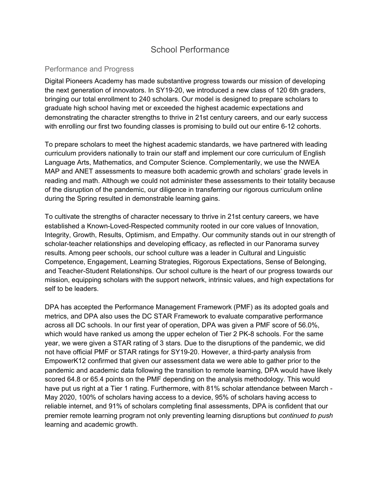### School Performance

#### <span id="page-4-1"></span><span id="page-4-0"></span>Performance and Progress

Digital Pioneers Academy has made substantive progress towards our mission of developing the next generation of innovators. In SY19-20, we introduced a new class of 120 6th graders, bringing our total enrollment to 240 scholars. Our model is designed to prepare scholars to graduate high school having met or exceeded the highest academic expectations and demonstrating the character strengths to thrive in 21st century careers, and our early success with enrolling our first two founding classes is promising to build out our entire 6-12 cohorts.

To prepare scholars to meet the highest academic standards, we have partnered with leading curriculum providers nationally to train our staff and implement our core curriculum of English Language Arts, Mathematics, and Computer Science. Complementarily, we use the NWEA MAP and ANET assessments to measure both academic growth and scholars' grade levels in reading and math. Although we could not administer these assessments to their totality because of the disruption of the pandemic, our diligence in transferring our rigorous curriculum online during the Spring resulted in demonstrable learning gains.

To cultivate the strengths of character necessary to thrive in 21st century careers, we have established a Known-Loved-Respected community rooted in our core values of Innovation, Integrity, Growth, Results, Optimism, and Empathy. Our community stands out in our strength of scholar-teacher relationships and developing efficacy, as reflected in our Panorama survey results. Among peer schools, our school culture was a leader in Cultural and Linguistic Competence, Engagement, Learning Strategies, Rigorous Expectations, Sense of Belonging, and Teacher-Student Relationships. Our school culture is the heart of our progress towards our mission, equipping scholars with the support network, intrinsic values, and high expectations for self to be leaders.

DPA has accepted the Performance Management Framework (PMF) as its adopted goals and metrics, and DPA also uses the DC STAR Framework to evaluate comparative performance across all DC schools. In our first year of operation, DPA was given a PMF score of 56.0%, which would have ranked us among the upper echelon of Tier 2 PK-8 schools. For the same year, we were given a STAR rating of 3 stars. Due to the disruptions of the pandemic, we did not have official PMF or STAR ratings for SY19-20. However, a third-party analysis from EmpowerK12 confirmed that given our assessment data we were able to gather prior to the pandemic and academic data following the transition to remote learning, DPA would have likely scored 64.8 or 65.4 points on the PMF depending on the analysis methodology. This would have put us right at a Tier 1 rating. Furthermore, with 81% scholar attendance between March -May 2020, 100% of scholars having access to a device, 95% of scholars having access to reliable internet, and 91% of scholars completing final assessments, DPA is confident that our premier remote learning program not only preventing learning disruptions but *continued to push* learning and academic growth.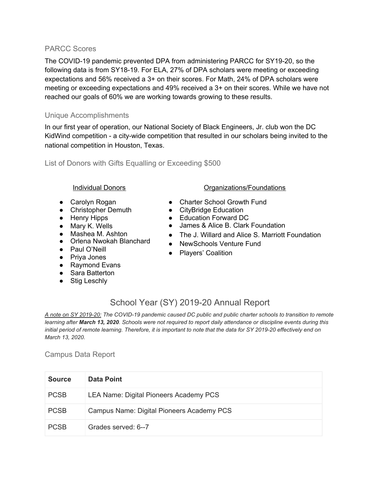#### <span id="page-5-0"></span>PARCC Scores

The COVID-19 pandemic prevented DPA from administering PARCC for SY19-20, so the following data is from SY18-19. For ELA, 27% of DPA scholars were meeting or exceeding expectations and 56% received a 3+ on their scores. For Math, 24% of DPA scholars were meeting or exceeding expectations and 49% received a 3+ on their scores. While we have not reached our goals of 60% we are working towards growing to these results.

#### <span id="page-5-1"></span>Unique Accomplishments

In our first year of operation, our National Society of Black Engineers, Jr. club won the DC KidWind competition - a city-wide competition that resulted in our scholars being invited to the national competition in Houston, Texas.

<span id="page-5-2"></span>List of Donors with Gifts Equalling or Exceeding \$500

- Carolyn Rogan
- Christopher Demuth
- Henry Hipps
- Mary K. Wells
- Mashea M. Ashton
- Orlena Nwokah Blanchard
- Paul O'Neill
- Priva Jones
- Raymond Evans
- Sara Batterton
- <span id="page-5-3"></span>● Stig Leschly
- Individual Donors **Constanting Constanting Constanting Constanting Constanting Constanting Constanting Constanting Constanting Constanting Constanting Constanting Constanting Constanting Constanting Constanting Constanting** 
	- Charter School Growth Fund
	- CityBridge Education
	- Education Forward DC
	- James & Alice B. Clark Foundation
	- The J. Willard and Alice S. Marriott Foundation
	- NewSchools Venture Fund
	- Players' Coalition

### School Year (SY) 2019-20 Annual Report

*A note on SY 2019-20: The COVID-19 pandemic caused DC public and public charter schools to transition to remote learning after March 13, 2020. Schools were not required to report daily attendance or discipline events during this initial period of remote learning. Therefore, it is important to note that the data for SY 2019-20 effectively end on March 13, 2020.*

#### <span id="page-5-4"></span>Campus Data Report

| <b>Source</b> | Data Point                                |
|---------------|-------------------------------------------|
| <b>PCSB</b>   | LEA Name: Digital Pioneers Academy PCS    |
| <b>PCSB</b>   | Campus Name: Digital Pioneers Academy PCS |
| <b>PCSB</b>   | Grades served: 6--7                       |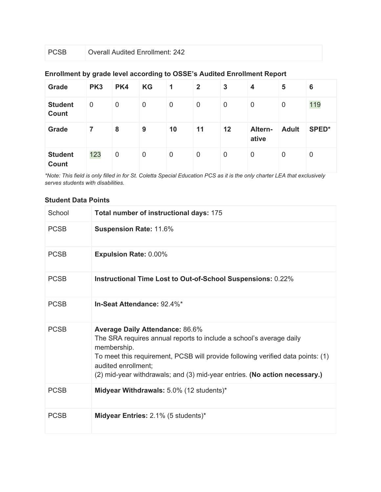#### **Enrollment by grade level according to OSSE's Audited Enrollment Report**

| Grade                          | PK <sub>3</sub> | PK4         | <b>KG</b> | 1           | $\mathbf{2}$ | 3           | 4                | 5            | 6     |
|--------------------------------|-----------------|-------------|-----------|-------------|--------------|-------------|------------------|--------------|-------|
| <b>Student</b><br><b>Count</b> | $\mathbf 0$     | $\mathbf 0$ | 0         | $\mathbf 0$ | 0            | $\mathbf 0$ | 0                | $\mathbf 0$  | 119   |
|                                |                 |             |           |             |              |             |                  |              |       |
| Grade                          | 7               | 8           | 9         | 10          | 11           | 12          | Altern-<br>ative | <b>Adult</b> | SPED* |

*\*Note: This field is only filled in for St. Coletta Special Education PCS as it is the only charter LEA that exclusively serves students with disabilities.*

#### **Student Data Points**

| School      | Total number of instructional days: 175                                                                                                                                                                                                                                                                              |
|-------------|----------------------------------------------------------------------------------------------------------------------------------------------------------------------------------------------------------------------------------------------------------------------------------------------------------------------|
| <b>PCSB</b> | <b>Suspension Rate: 11.6%</b>                                                                                                                                                                                                                                                                                        |
| <b>PCSB</b> | <b>Expulsion Rate: 0.00%</b>                                                                                                                                                                                                                                                                                         |
| <b>PCSB</b> | Instructional Time Lost to Out-of-School Suspensions: 0.22%                                                                                                                                                                                                                                                          |
| <b>PCSB</b> | In-Seat Attendance: 92.4%*                                                                                                                                                                                                                                                                                           |
| <b>PCSB</b> | <b>Average Daily Attendance: 86.6%</b><br>The SRA requires annual reports to include a school's average daily<br>membership.<br>To meet this requirement, PCSB will provide following verified data points: (1)<br>audited enrollment;<br>(2) mid-year withdrawals; and (3) mid-year entries. (No action necessary.) |
| <b>PCSB</b> | Midyear Withdrawals: 5.0% (12 students)*                                                                                                                                                                                                                                                                             |
| <b>PCSB</b> | Midyear Entries: 2.1% (5 students)*                                                                                                                                                                                                                                                                                  |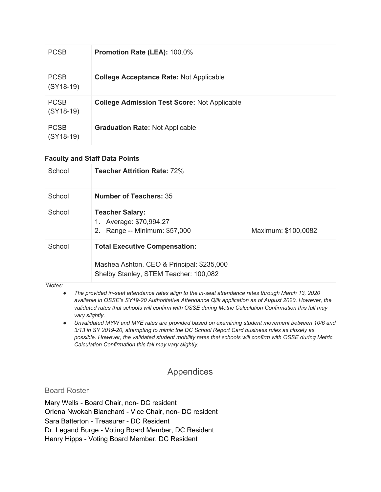| <b>PCSB</b>                | Promotion Rate (LEA): 100.0%                        |
|----------------------------|-----------------------------------------------------|
| <b>PCSB</b><br>$(SY18-19)$ | <b>College Acceptance Rate: Not Applicable</b>      |
| <b>PCSB</b><br>$(SY18-19)$ | <b>College Admission Test Score: Not Applicable</b> |
| <b>PCSB</b><br>$(SY18-19)$ | <b>Graduation Rate: Not Applicable</b>              |

#### **Faculty and Staff Data Points**

| School | <b>Teacher Attrition Rate: 72%</b>                                                                                         |                     |
|--------|----------------------------------------------------------------------------------------------------------------------------|---------------------|
| School | <b>Number of Teachers: 35</b>                                                                                              |                     |
| School | <b>Teacher Salary:</b><br>1. Average: \$70,994.27<br>Range -- Minimum: \$57,000<br>2.                                      | Maximum: \$100,0082 |
| School | <b>Total Executive Compensation:</b><br>Mashea Ashton, CEO & Principal: \$235,000<br>Shelby Stanley, STEM Teacher: 100,082 |                     |

#### *\*Notes:*

- *● The provided in-seat attendance rates align to the in-seat attendance rates through March 13, 2020 available in OSSE's SY19-20 Authoritative Attendance Qlik application as of August 2020. However, the validated rates that schools will confirm with OSSE during Metric Calculation Confirmation this fall may vary slightly.*
- *● Unvalidated MYW and MYE rates are provided based on examining student movement between 10/6 and 3/13 in SY 2019-20, attempting to mimic the DC School Report Card business rules as closely as possible. However, the validated student mobility rates that schools will confirm with OSSE during Metric Calculation Confirmation this fall may vary slightly.*

### Appendices

#### <span id="page-7-1"></span><span id="page-7-0"></span>Board Roster

Mary Wells - Board Chair, non- DC resident Orlena Nwokah Blanchard - Vice Chair, non- DC resident Sara Batterton - Treasurer - DC Resident Dr. Legand Burge - Voting Board Member, DC Resident Henry Hipps - Voting Board Member, DC Resident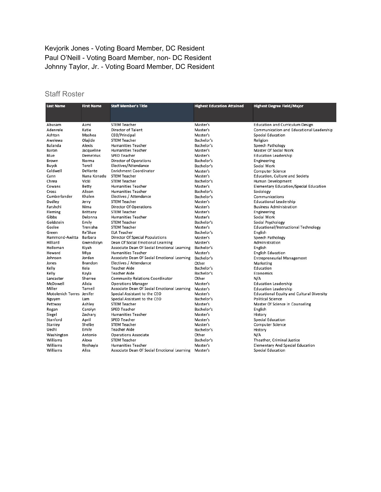#### Kevjorik Jones - Voting Board Member, DC Resident Paul O'Neill - Voting Board Member, non- DC Resident Johnny Taylor, Jr. - Voting Board Member, DC Resident

#### Staff Roster

| <b>Last Name</b>          | <b>First Name</b> | <b>Staff Member's Title</b>                 | <b>Highest Education Attained</b> | <b>Highest Degree Field/Major</b>                |
|---------------------------|-------------------|---------------------------------------------|-----------------------------------|--------------------------------------------------|
|                           |                   |                                             |                                   |                                                  |
| Abusam                    | Azmi              | <b>STEM Teacher</b>                         | Master's                          | <b>Education and Curriculum Design</b>           |
| Adenrele                  | Katie             | <b>Director of Talent</b>                   | Master's                          | Communication and Educational Leadership         |
| Ashton                    | Mashea            | CEO/Principal                               | Master's                          | <b>Special Education</b>                         |
| Awelewa                   | Olaiide           | <b>STEM Teacher</b>                         | Bachelor's                        | Religion                                         |
| Balanda                   | Alexis            | <b>Humanities Teacher</b>                   | Bachelor's                        | Speech Pathology                                 |
| Baron                     | Jacqueline        | <b>Humanities Teacher</b>                   | Master's                          | Master Of Social Work                            |
| Blue                      | Demetrius         | <b>SPED Teacher</b>                         | Master's                          | <b>Education Leadership</b>                      |
| <b>Brown</b>              | Norma             | <b>Director of Operations</b>               | Bachelor's                        | Engineering                                      |
| Buyck                     | Terell            | Electives/Attendance                        | Bachelor's                        | Social Work                                      |
| Caldwell                  | DeVante           | <b>Enrichment Coordinator</b>               | Master's                          | <b>Computer Science</b>                          |
| Cann                      | Nana Konadu       | <b>STEM Teacher</b>                         | Master's                          | <b>Education, Culture and Society</b>            |
| Chrea                     | Vicki             | <b>STEM Teacher</b>                         | Bachelor's                        | Human Development                                |
| Cowans                    | <b>Betty</b>      | <b>Humanities Teacher</b>                   | Master's                          | <b>Elementary Education/Special Education</b>    |
| Cross                     | Alison            | <b>Humanities Teacher</b>                   | Bachelor's                        | Sociology                                        |
| Cumberlander              | Khalen            | Electives / Attendance                      | Bachelor's                        | Communications                                   |
| Dudley                    | Jerry             | <b>STEM Teacher</b>                         | Master's                          | <b>Educational Leadership</b>                    |
| Farshchi                  | Nima              | <b>Director Of Operations</b>               | Master's                          | <b>Business Administration</b>                   |
| Fleming                   | Brittany          | <b>STEM Teacher</b>                         | Master's                          | Engineering                                      |
| Gibbs                     | Delonna           | <b>Humanities Teacher</b>                   | Master's                          | Social Work                                      |
| Goldstein                 | Emily             | <b>STEM Teacher</b>                         | Bachelor's                        | Social Psychology                                |
| Goslee                    | Trenisha          | <b>STEM Teacher</b>                         | Master's                          | Educational/Instructional Technology             |
| Green                     | Re'Shae           | <b>ELA Teacher</b>                          | Bachelor's                        | English                                          |
| Hammond-Awitta            | Barbara           | Director Of Special Populations             | Master's                          | Speech Pathology                                 |
| Hilliard                  | Gwendolyn         | Dean Of Social Emotional Learning           | Master's                          | Administration                                   |
| Holloman                  | Kiyah             | Associate Dean Of Social Emotional Learning | Bachelor's                        | English                                          |
| Howard                    | Miya              | <b>Humanities Teacher</b>                   | Master's                          | <b>English Education</b>                         |
| Johnson                   | Jordan            | Associate Dean Of Social Emotional Learning | Bachelor's                        | <b>Entrepreneurial Management</b>                |
| Jones                     | <b>Brandon</b>    | Electives / Attendance                      | Other                             | Marketing                                        |
| Kelly                     | Keia              | <b>Teacher Aide</b>                         | Bachelor's                        | Education                                        |
| Kelly                     | Kayla             | <b>Teacher Aide</b>                         | Bachelor's                        | Economics                                        |
| Lancaster                 | Sherree           | <b>Community Relations Coordinator</b>      | Other                             | N/A                                              |
| McDowell                  | Alicia            | <b>Operations Manager</b>                   | Master's                          | <b>Education Leadership</b>                      |
| Miller                    | Tarneil           | Associate Dean Of Social Emotional Learning | Master's                          | <b>Education Leadership</b>                      |
| Motolenich Torres Jenifer |                   | Special Assistant to the CEO                | Master's                          | <b>Educational Equity and Cultural Diversity</b> |
| Nguyen                    | Lam               | Special Assistant to the CEO                | Bachelor's                        | <b>Political Science</b>                         |
| Pettway                   | Ashley            | <b>STEM Teacher</b>                         | Master's                          | Master Of Science In Counseling                  |
| Rogan                     | Carolyn           | <b>SPED Teacher</b>                         | Bachelor's                        | English                                          |
| Siegel                    | Zachary           | <b>Humanities Teacher</b>                   | Master's                          | History                                          |
| Stanford                  | April             | <b>SPED Teacher</b>                         | Master's                          | <b>Special Education</b>                         |
| Stanley                   | Shelby            | <b>STEM Teacher</b>                         | Master's                          | <b>Computer Science</b>                          |
| Uechi                     | Emily             | <b>Teacher Aide</b>                         | Bachelor's                        | History                                          |
| Washington                | Antonio           | <b>Operations Associate</b>                 | Other                             | N/A                                              |
| Williams                  | Alexa             | <b>STEM Teacher</b>                         | Bachelor's                        | Theather, Criminal Justice                       |
| Williams                  | Nyshayla          | <b>Humanities Teacher</b>                   | Master's                          | <b>Elementary And Special Education</b>          |
| Williams                  | Aliss             | Associate Dean Of Social Emotional Learning | Master's                          | <b>Special Education</b>                         |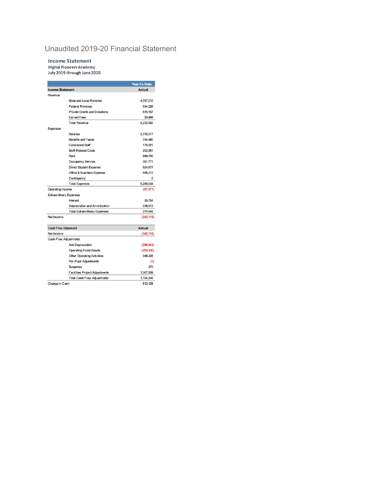#### <span id="page-9-0"></span>Unaudited 2019-20 Financial Statement

#### **Income Statement**

Ý

Digital Pioneers Academy<br>July 2019 through June 2020

|                            |                                       | Year-To-Date  |
|----------------------------|---------------------------------------|---------------|
| <b>Income Statement</b>    |                                       | Actual        |
| Revenue                    |                                       |               |
|                            | State and Local Revenue               | 4,797,210     |
|                            | <b>Federal Revenue</b>                | 534,226       |
|                            | <b>Private Grants and Donations</b>   | 870.157       |
|                            | <b>Earned Fees</b>                    | 20,469        |
|                            | <b>Total Revenue</b>                  | 6,222,062     |
| <b>Expenses</b>            |                                       |               |
|                            | Salaries                              | 2,755,217     |
|                            | <b>Benefits and Taxes</b>             | 794.480       |
|                            | <b>Contracted Staff</b>               | 175,921       |
|                            | <b>Staff-Related Costs</b>            | 202,551       |
|                            | Rent                                  | 989.705       |
|                            | <b>Occupancy Service</b>              | 351,771       |
|                            | <b>Direct Student Expense</b>         | 524.677       |
|                            | <b>Office &amp; Business Expense</b>  | 495,212       |
|                            | Contingency                           | 0             |
|                            | <b>Total Expenses</b>                 | 6,289,534     |
| Operating Income           |                                       | (67, 471)     |
|                            | <b>Extraordinary Expenses</b>         |               |
|                            | Interest                              | 35,734        |
|                            | Depreciation and Amortization         | 238.913       |
|                            | <b>Total Extraordinary Expenses</b>   | 274.646       |
| Net Income                 |                                       | (342, 118)    |
| <b>Cash Flow Statement</b> |                                       | <b>Actual</b> |
| Net Income                 |                                       | (342, 118)    |
|                            | <b>Cash Flow Adjustments</b>          |               |
|                            | <b>Add Depreciation</b>               | (296, 843)    |
|                            | <b>Operating Fixed Assets</b>         | (263, 130)    |
|                            | <b>Other Operating Activities</b>     | 346,339       |
|                            | Per-Pupil Adjustments                 | (0)           |
|                            | Suspense                              | 370           |
|                            | <b>Facilities Project Adjustments</b> | 1,367,509     |
|                            | <b>Total Cash Flow Adjustments</b>    | 1,154,246     |
| Change in Cash             |                                       | 812,128       |
|                            |                                       |               |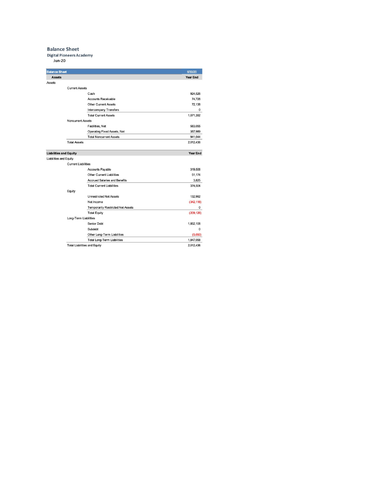#### **Balance Sheet**

#### **Digital Pioneers Academy**

**Jun-20** 

|               | <b>Balance Sheet</b>          |                                          | 6/30/20                                                                                                                 |
|---------------|-------------------------------|------------------------------------------|-------------------------------------------------------------------------------------------------------------------------|
| <b>Assets</b> |                               |                                          | Year End                                                                                                                |
| <b>Assets</b> |                               |                                          |                                                                                                                         |
|               | <b>Current Assets</b>         |                                          |                                                                                                                         |
|               |                               | Cash                                     | 924,526                                                                                                                 |
|               |                               | <b>Accounts Receivable</b>               | 74,728                                                                                                                  |
|               |                               | <b>Other Current Assets</b>              | 72,138                                                                                                                  |
|               |                               | Intercompany Transfers                   | $\mathbf{0}$                                                                                                            |
|               |                               | <b>Total Current Assets</b>              | 1,071,392                                                                                                               |
|               | <b>Noncurrent Assets</b>      |                                          |                                                                                                                         |
|               |                               | Facilities, Net                          | 583,055                                                                                                                 |
|               |                               | Operating Fixed Assets, Net              | 357,989                                                                                                                 |
|               |                               | <b>Total Noncurrent Assets</b>           | 941,044                                                                                                                 |
|               | <b>Total Assets</b>           |                                          | 2,012,436                                                                                                               |
|               | <b>Liabilities and Equity</b> |                                          | <b>Year End</b>                                                                                                         |
|               | Liabilities and Equity        |                                          |                                                                                                                         |
|               | <b>Current Liabilities</b>    |                                          |                                                                                                                         |
|               |                               | Accounts Payable                         | 319,506                                                                                                                 |
|               |                               |                                          |                                                                                                                         |
|               |                               | Other Current Liabilities                |                                                                                                                         |
|               |                               | <b>Accrued Salaries and Benefits</b>     |                                                                                                                         |
|               |                               | <b>Total Current Liabilities</b>         |                                                                                                                         |
|               | Equity                        |                                          |                                                                                                                         |
|               |                               | <b>Unrestricted Net Assets</b>           |                                                                                                                         |
|               |                               | Net Income                               |                                                                                                                         |
|               |                               | <b>Temporarily Restricted Net Assets</b> |                                                                                                                         |
|               |                               | <b>Total Equity</b>                      |                                                                                                                         |
|               | Long-Term Liabilities         |                                          |                                                                                                                         |
|               |                               | <b>Senior Debt</b>                       |                                                                                                                         |
|               |                               | Subdebt                                  |                                                                                                                         |
|               |                               | Other Long-Term Liabilities              |                                                                                                                         |
|               |                               | <b>Total Long-Term Liabilities</b>       | 51,174<br>3,825<br>374,504<br>132,992<br>(342, 118)<br>0<br>(209, 126)<br>1,852,108<br>$\Omega$<br>(5,050)<br>1,847,058 |